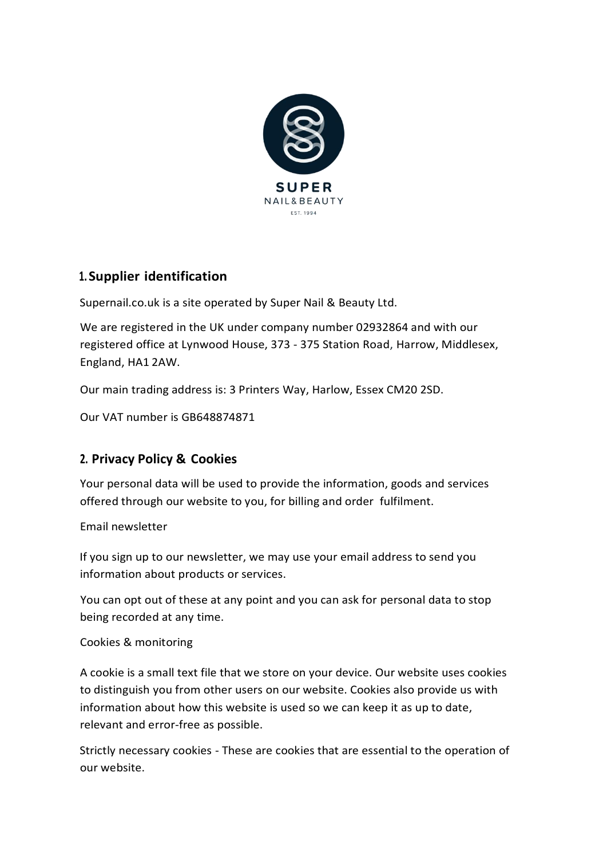

## **1. Supplier identification**

Supernail.co.uk is a site operated by Super Nail & Beauty Ltd.

We are registered in the UK under company number 02932864 and with our registered office at Lynwood House, 373 - 375 Station Road, Harrow, Middlesex, England, HA1 2AW.

Our main trading address is: 3 Printers Way, Harlow, Essex CM20 2SD.

Our VAT number is GB648874871

## **2. Privacy Policy & Cookies**

Your personal data will be used to provide the information, goods and services offered through our website to you, for billing and order fulfilment.

Email newsletter

If you sign up to our newsletter, we may use your email address to send you information about products or services.

You can opt out of these at any point and you can ask for personal data to stop being recorded at any time.

Cookies & monitoring

A cookie is a small text file that we store on your device. Our website uses cookies to distinguish you from other users on our website. Cookies also provide us with information about how this website is used so we can keep it as up to date, relevant and error-free as possible.

Strictly necessary cookies - These are cookies that are essential to the operation of our website.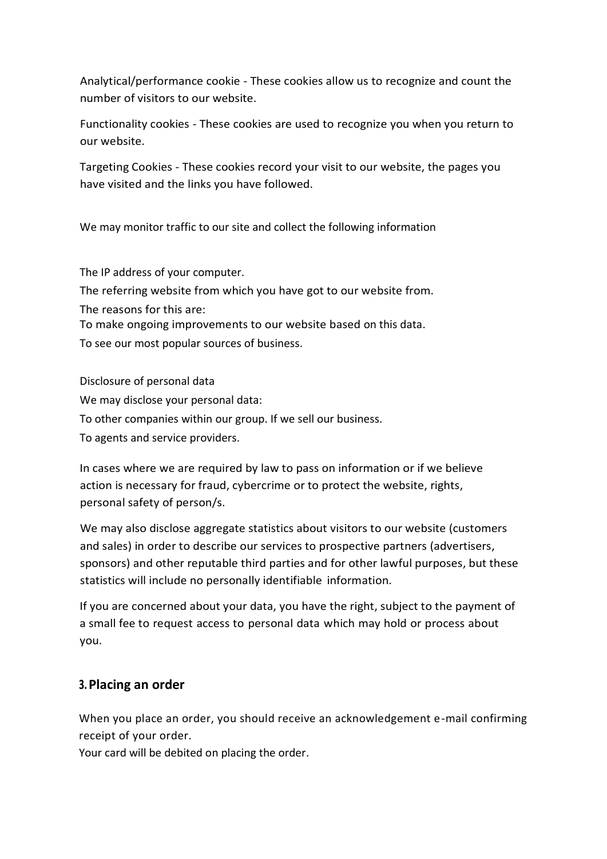Analytical/performance cookie - These cookies allow us to recognize and count the number of visitors to our website.

Functionality cookies - These cookies are used to recognize you when you return to our website.

Targeting Cookies - These cookies record your visit to our website, the pages you have visited and the links you have followed.

We may monitor traffic to our site and collect the following information

The IP address of your computer.

The referring website from which you have got to our website from. The reasons for this are: To make ongoing improvements to our website based on this data. To see our most popular sources of business.

Disclosure of personal data We may disclose your personal data: To other companies within our group. If we sell our business. To agents and service providers.

In cases where we are required by law to pass on information or if we believe action is necessary for fraud, cybercrime or to protect the website, rights, personal safety of person/s.

We may also disclose aggregate statistics about visitors to our website (customers and sales) in order to describe our services to prospective partners (advertisers, sponsors) and other reputable third parties and for other lawful purposes, but these statistics will include no personally identifiable information.

If you are concerned about your data, you have the right, subject to the payment of a small fee to request access to personal data which may hold or process about you.

## **3.Placing an order**

When you place an order, you should receive an acknowledgement e-mail confirming receipt of your order.

Your card will be debited on placing the order.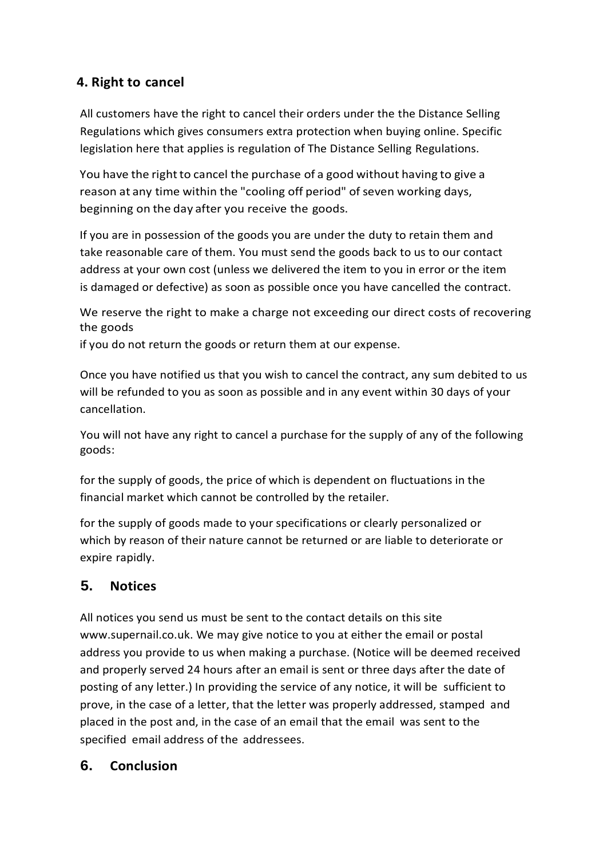## **4. Right to cancel**

All customers have the right to cancel their orders under the the Distance Selling Regulations which gives consumers extra protection when buying online. Specific legislation here that applies is regulation of The Distance Selling Regulations.

You have the right to cancel the purchase of a good without having to give a reason at any time within the "cooling off period" of seven working days, beginning on the day after you receive the goods.

If you are in possession of the goods you are under the duty to retain them and take reasonable care of them. You must send the goods back to us to our contact address at your own cost (unless we delivered the item to you in error or the item is damaged or defective) as soon as possible once you have cancelled the contract.

We reserve the right to make a charge not exceeding our direct costs of recovering the goods

if you do not return the goods or return them at our expense.

Once you have notified us that you wish to cancel the contract, any sum debited to us will be refunded to you as soon as possible and in any event within 30 days of your cancellation.

You will not have any right to cancel a purchase for the supply of any of the following goods:

for the supply of goods, the price of which is dependent on fluctuations in the financial market which cannot be controlled by the retailer.

for the supply of goods made to your specifications or clearly personalized or which by reason of their nature cannot be returned or are liable to deteriorate or expire rapidly.

# **5. Notices**

All notices you send us must be sent to the contact details on this site [www.supernail.co.uk. W](http://www.supernail.co.uk/)e may give notice to you at either the email or postal address you provide to us when making a purchase. (Notice will be deemed received and properly served 24 hours after an email is sent or three days after the date of posting of any letter.) In providing the service of any notice, it will be sufficient to prove, in the case of a letter, that the letter was properly addressed, stamped and placed in the post and, in the case of an email that the email was sent to the specified email address of the addressees.

# **6. Conclusion**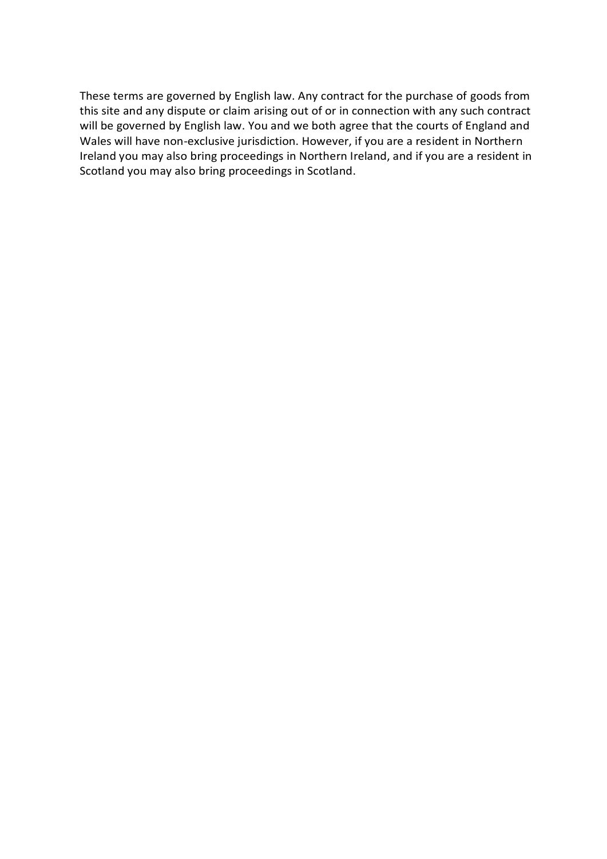These terms are governed by English law. Any contract for the purchase of goods from this site and any dispute or claim arising out of or in connection with any such contract will be governed by English law. You and we both agree that the courts of England and Wales will have non-exclusive jurisdiction. However, if you are a resident in Northern Ireland you may also bring proceedings in Northern Ireland, and if you are a resident in Scotland you may also bring proceedings in Scotland.